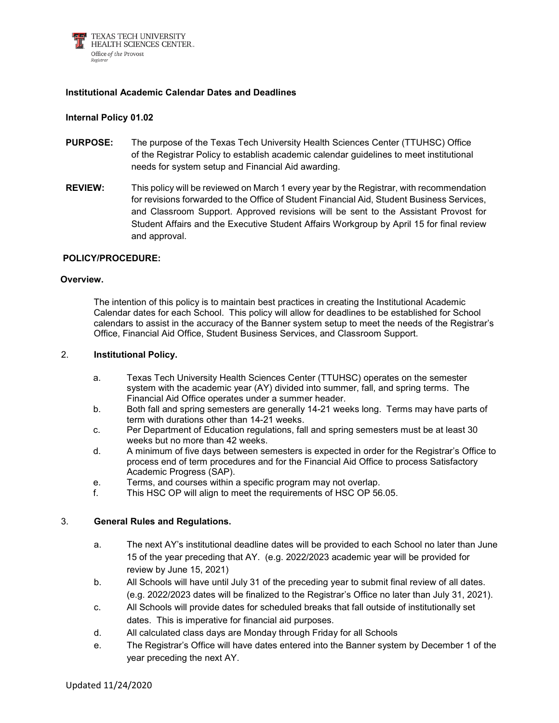

# **Institutional Academic Calendar Dates and Deadlines**

## **Internal Policy 01.02**

- **PURPOSE:** The purpose of the Texas Tech University Health Sciences Center (TTUHSC) Office of the Registrar Policy to establish academic calendar guidelines to meet institutional needs for system setup and Financial Aid awarding.
- **REVIEW:** This policy will be reviewed on March 1 every year by the Registrar, with recommendation for revisions forwarded to the Office of Student Financial Aid, Student Business Services, and Classroom Support. Approved revisions will be sent to the Assistant Provost for Student Affairs and the Executive Student Affairs Workgroup by April 15 for final review and approval.

### **POLICY/PROCEDURE:**

### **Overview.**

The intention of this policy is to maintain best practices in creating the Institutional Academic Calendar dates for each School. This policy will allow for deadlines to be established for School calendars to assist in the accuracy of the Banner system setup to meet the needs of the Registrar's Office, Financial Aid Office, Student Business Services, and Classroom Support.

### 2. **Institutional Policy.**

- a. Texas Tech University Health Sciences Center (TTUHSC) operates on the semester system with the academic year (AY) divided into summer, fall, and spring terms. The Financial Aid Office operates under a summer header.
- b. Both fall and spring semesters are generally 14-21 weeks long. Terms may have parts of term with durations other than 14-21 weeks.
- c. Per Department of Education regulations, fall and spring semesters must be at least 30 weeks but no more than 42 weeks.
- d. A minimum of five days between semesters is expected in order for the Registrar's Office to process end of term procedures and for the Financial Aid Office to process Satisfactory Academic Progress (SAP).
- e. Terms, and courses within a specific program may not overlap.
- f. This HSC OP will align to meet the requirements of HSC OP 56.05.

### 3. **General Rules and Regulations.**

- a. The next AY's institutional deadline dates will be provided to each School no later than June 15 of the year preceding that AY. (e.g. 2022/2023 academic year will be provided for review by June 15, 2021)
- b. All Schools will have until July 31 of the preceding year to submit final review of all dates. (e.g. 2022/2023 dates will be finalized to the Registrar's Office no later than July 31, 2021).
- c. All Schools will provide dates for scheduled breaks that fall outside of institutionally set dates. This is imperative for financial aid purposes.
- d. All calculated class days are Monday through Friday for all Schools
- e. The Registrar's Office will have dates entered into the Banner system by December 1 of the year preceding the next AY.